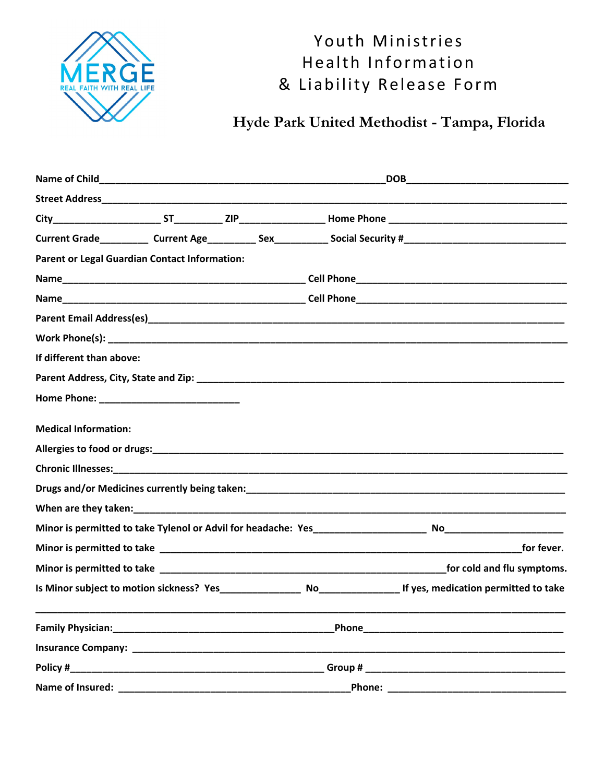

# Youth Ministries Health Information & Liability Release Form

## Hyde Park United Methodist - Tampa, Florida

| <b>Parent or Legal Guardian Contact Information:</b> |                                                                                                                                                                                                                                |  |                                                                                                               |
|------------------------------------------------------|--------------------------------------------------------------------------------------------------------------------------------------------------------------------------------------------------------------------------------|--|---------------------------------------------------------------------------------------------------------------|
|                                                      |                                                                                                                                                                                                                                |  |                                                                                                               |
|                                                      |                                                                                                                                                                                                                                |  |                                                                                                               |
|                                                      |                                                                                                                                                                                                                                |  |                                                                                                               |
|                                                      |                                                                                                                                                                                                                                |  |                                                                                                               |
| If different than above:                             |                                                                                                                                                                                                                                |  |                                                                                                               |
|                                                      |                                                                                                                                                                                                                                |  |                                                                                                               |
|                                                      |                                                                                                                                                                                                                                |  |                                                                                                               |
| <b>Medical Information:</b>                          |                                                                                                                                                                                                                                |  |                                                                                                               |
|                                                      |                                                                                                                                                                                                                                |  |                                                                                                               |
|                                                      |                                                                                                                                                                                                                                |  |                                                                                                               |
|                                                      |                                                                                                                                                                                                                                |  |                                                                                                               |
|                                                      |                                                                                                                                                                                                                                |  |                                                                                                               |
|                                                      |                                                                                                                                                                                                                                |  |                                                                                                               |
|                                                      |                                                                                                                                                                                                                                |  |                                                                                                               |
|                                                      |                                                                                                                                                                                                                                |  |                                                                                                               |
|                                                      |                                                                                                                                                                                                                                |  |                                                                                                               |
|                                                      |                                                                                                                                                                                                                                |  |                                                                                                               |
|                                                      |                                                                                                                                                                                                                                |  |                                                                                                               |
| Policy #                                             |                                                                                                                                                                                                                                |  | Group # 2008 and 2008 and 2008 and 2008 and 2008 and 2008 and 2008 and 2008 and 2008 and 2008 and 2008 and 20 |
| Name of Insured:                                     | Phone: New York Phone Street, New York Phone Street, New York Phone Street, New York Phone Street, New York Phone Street, New York Phone Street, New York Phone Street, New York Phone Street, New York Phone Street, New York |  |                                                                                                               |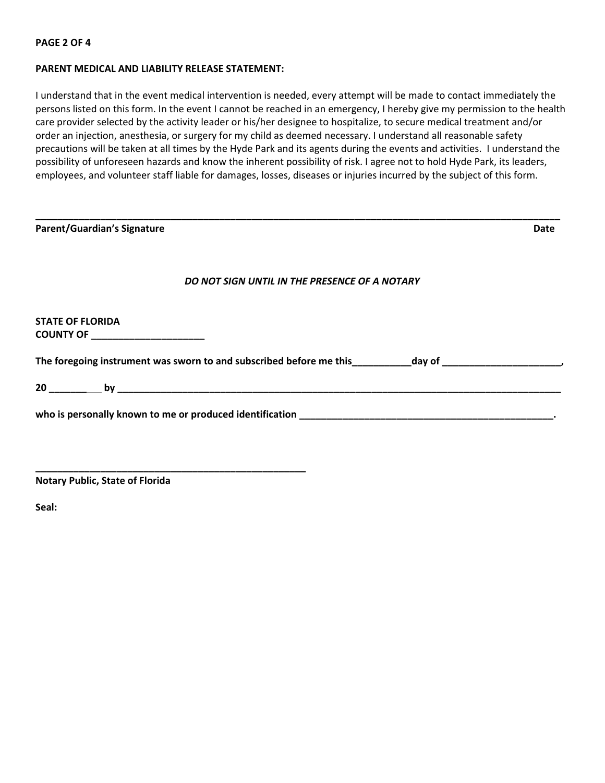#### **PAGE 2 OF 4**

#### **PARENT MEDICAL AND LIABILITY RELEASE STATEMENT:**

I understand that in the event medical intervention is needed, every attempt will be made to contact immediately the persons listed on this form. In the event I cannot be reached in an emergency, I hereby give my permission to the health care provider selected by the activity leader or his/her designee to hospitalize, to secure medical treatment and/or order an injection, anesthesia, or surgery for my child as deemed necessary. I understand all reasonable safety precautions will be taken at all times by the Hyde Park and its agents during the events and activities. I understand the possibility of unforeseen hazards and know the inherent possibility of risk. I agree not to hold Hyde Park, its leaders, employees, and volunteer staff liable for damages, losses, diseases or injuries incurred by the subject of this form.

| <b>Parent/Guardian's Signature</b>                                                                             | Date |
|----------------------------------------------------------------------------------------------------------------|------|
| DO NOT SIGN UNTIL IN THE PRESENCE OF A NOTARY                                                                  |      |
| <b>STATE OF FLORIDA</b><br>COUNTY OF ____________________                                                      |      |
| The foregoing instrument was sworn to and subscribed before me this ___________day of ________________________ |      |
|                                                                                                                |      |
|                                                                                                                |      |
|                                                                                                                |      |

**Notary Public, State of Florida** 

**\_\_\_\_\_\_\_\_\_\_\_\_\_\_\_\_\_\_\_\_\_\_\_\_\_\_\_\_\_\_\_\_\_\_\_\_\_\_\_\_\_\_\_\_\_\_\_\_\_\_** 

**Seal:**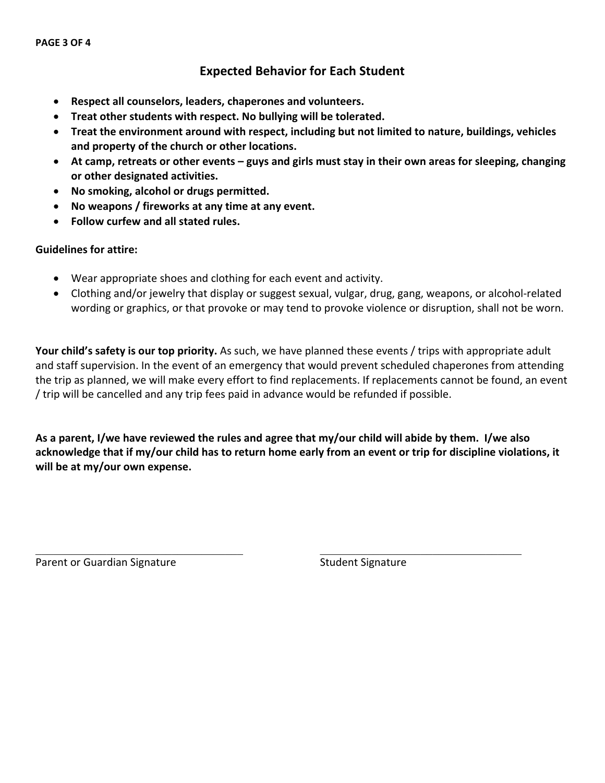## **Expected Behavior for Each Student**

- **Respect all counselors, leaders, chaperones and volunteers.**
- **Treat other students with respect. No bullying will be tolerated.**
- **Treat the environment around with respect, including but not limited to nature, buildings, vehicles and property of the church or other locations.**
- **At camp, retreats or other events guys and girls must stay in their own areas for sleeping, changing or other designated activities.**
- **No smoking, alcohol or drugs permitted.**
- **No weapons / fireworks at any time at any event.**
- **Follow curfew and all stated rules.**

#### **Guidelines for attire:**

- Wear appropriate shoes and clothing for each event and activity.
- Clothing and/or jewelry that display or suggest sexual, vulgar, drug, gang, weapons, or alcohol-related wording or graphics, or that provoke or may tend to provoke violence or disruption, shall not be worn.

**Your child's safety is our top priority.** As such, we have planned these events / trips with appropriate adult and staff supervision. In the event of an emergency that would prevent scheduled chaperones from attending the trip as planned, we will make every effort to find replacements. If replacements cannot be found, an event / trip will be cancelled and any trip fees paid in advance would be refunded if possible.

**As a parent, I/we have reviewed the rules and agree that my/our child will abide by them. I/we also acknowledge that if my/our child has to return home early from an event or trip for discipline violations, it will be at my/our own expense.**

 $\mathcal{L}_\text{max}$  , and the contribution of the contribution of the contribution of the contribution of the contribution of the contribution of the contribution of the contribution of the contribution of the contribution of t

Parent or Guardian Signature Student Signature Student Signature